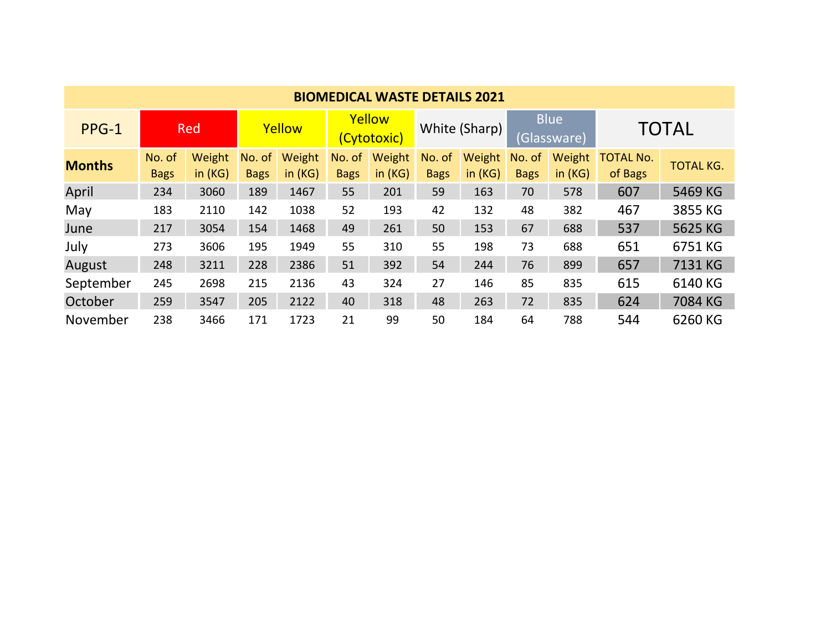| <b>BIOMEDICAL WASTE DETAILS 2021</b> |             |        |             |        |                       |        |               |        |                            |        |                  |                  |
|--------------------------------------|-------------|--------|-------------|--------|-----------------------|--------|---------------|--------|----------------------------|--------|------------------|------------------|
| PPG-1                                | Red         |        | Yellow      |        | Yellow<br>(Cytotoxic) |        | White (Sharp) |        | <b>Blue</b><br>(Glassware) |        | <b>TOTAL</b>     |                  |
| <b>Months</b>                        | No. of      | Weight | No. of      | Weight | No. of                | Weight | No. of        | Weight | No. of                     | Weight | <b>TOTAL No.</b> | <b>TOTAL KG.</b> |
|                                      | <b>Bags</b> | in(KG) | <b>Bags</b> | in(KG) | <b>Bags</b>           | in(KG) | <b>Bags</b>   | in(KG) | <b>Bags</b>                | in(KG) | of Bags          |                  |
| April                                | 234         | 3060   | 189         | 1467   | 55                    | 201    | 59            | 163    | 70                         | 578    | 607              | 5469 KG          |
| May                                  | 183         | 2110   | 142         | 1038   | 52                    | 193    | 42            | 132    | 48                         | 382    | 467              | 3855 KG          |
| June                                 | 217         | 3054   | 154         | 1468   | 49                    | 261    | 50            | 153    | 67                         | 688    | 537              | 5625 KG          |
| July                                 | 273         | 3606   | 195         | 1949   | 55                    | 310    | 55            | 198    | 73                         | 688    | 651              | 6751 KG          |
| August                               | 248         | 3211   | 228         | 2386   | 51                    | 392    | 54            | 244    | 76                         | 899    | 657              | 7131 KG          |
| September                            | 245         | 2698   | 215         | 2136   | 43                    | 324    | 27            | 146    | 85                         | 835    | 615              | 6140 KG          |
| October                              | 259         | 3547   | 205         | 2122   | 40                    | 318    | 48            | 263    | 72                         | 835    | 624              | 7084 KG          |
| November                             | 238         | 3466   | 171         | 1723   | 21                    | 99     | 50            | 184    | 64                         | 788    | 544              | 6260 KG          |